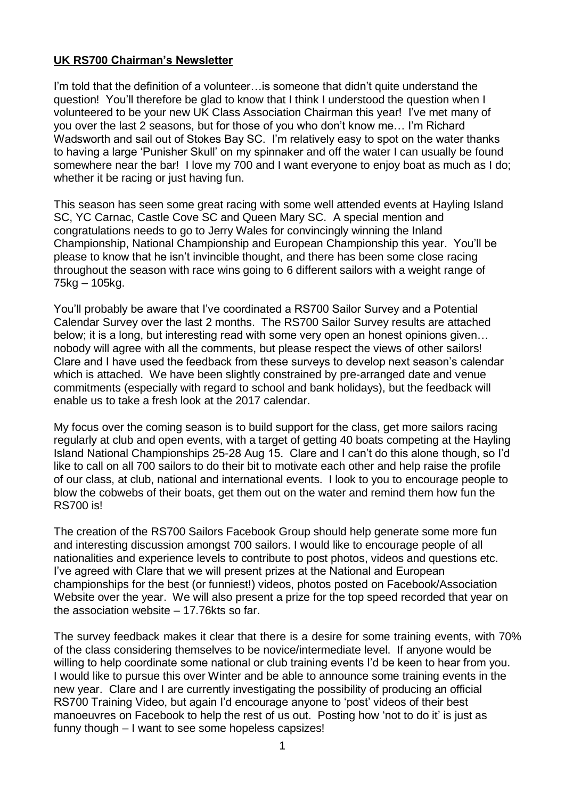# **UK RS700 Chairman's Newsletter**

I'm told that the definition of a volunteer... is someone that didn't quite understand the question! You'll therefore be glad to know that I think I understood the question when I volunteered to be your new UK Class Association Chairman this year! I've met many of you over the last 2 seasons, but for those of you who don't know me… I'm Richard Wadsworth and sail out of Stokes Bay SC. I'm relatively easy to spot on the water thanks to having a large 'Punisher Skull' on my spinnaker and off the water I can usually be found somewhere near the bar! I love my 700 and I want everyone to enjoy boat as much as I do; whether it be racing or just having fun.

This season has seen some great racing with some well attended events at Hayling Island SC, YC Carnac, Castle Cove SC and Queen Mary SC. A special mention and congratulations needs to go to Jerry Wales for convincingly winning the Inland Championship, National Championship and European Championship this year. You'll be please to know that he isn't invincible thought, and there has been some close racing throughout the season with race wins going to 6 different sailors with a weight range of 75kg – 105kg.

You'll probably be aware that I've coordinated a RS700 Sailor Survey and a Potential Calendar Survey over the last 2 months. The RS700 Sailor Survey results are attached below; it is a long, but interesting read with some very open an honest opinions given… nobody will agree with all the comments, but please respect the views of other sailors! Clare and I have used the feedback from these surveys to develop next season's calendar which is attached. We have been slightly constrained by pre-arranged date and venue commitments (especially with regard to school and bank holidays), but the feedback will enable us to take a fresh look at the 2017 calendar.

My focus over the coming season is to build support for the class, get more sailors racing regularly at club and open events, with a target of getting 40 boats competing at the Hayling Island National Championships 25-28 Aug 15. Clare and I can't do this alone though, so I'd like to call on all 700 sailors to do their bit to motivate each other and help raise the profile of our class, at club, national and international events. I look to you to encourage people to blow the cobwebs of their boats, get them out on the water and remind them how fun the RS700 is!

The creation of the RS700 Sailors Facebook Group should help generate some more fun and interesting discussion amongst 700 sailors. I would like to encourage people of all nationalities and experience levels to contribute to post photos, videos and questions etc. I've agreed with Clare that we will present prizes at the National and European championships for the best (or funniest!) videos, photos posted on Facebook/Association Website over the year. We will also present a prize for the top speed recorded that year on the association website – 17.76kts so far.

The survey feedback makes it clear that there is a desire for some training events, with 70% of the class considering themselves to be novice/intermediate level. If anyone would be willing to help coordinate some national or club training events I'd be keen to hear from you. I would like to pursue this over Winter and be able to announce some training events in the new year. Clare and I are currently investigating the possibility of producing an official RS700 Training Video, but again I'd encourage anyone to 'post' videos of their best manoeuvres on Facebook to help the rest of us out. Posting how 'not to do it' is just as funny though – I want to see some hopeless capsizes!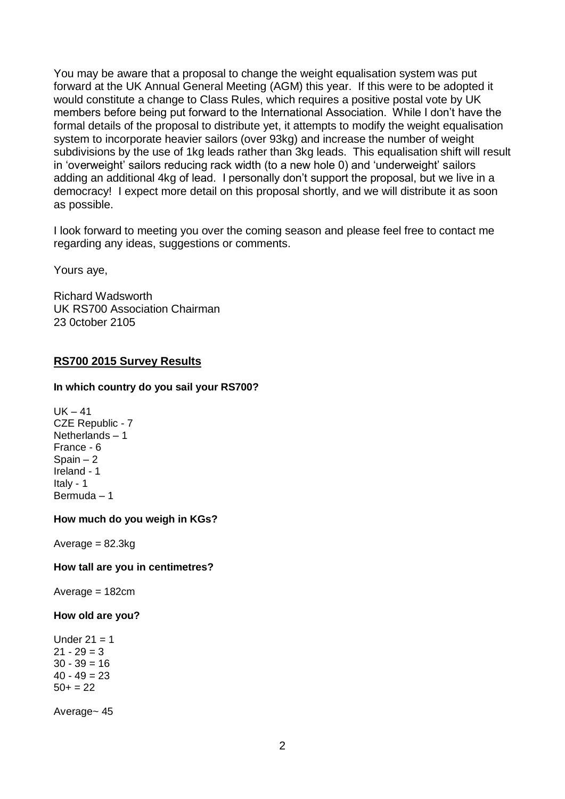You may be aware that a proposal to change the weight equalisation system was put forward at the UK Annual General Meeting (AGM) this year. If this were to be adopted it would constitute a change to Class Rules, which requires a positive postal vote by UK members before being put forward to the International Association. While I don't have the formal details of the proposal to distribute yet, it attempts to modify the weight equalisation system to incorporate heavier sailors (over 93kg) and increase the number of weight subdivisions by the use of 1kg leads rather than 3kg leads. This equalisation shift will result in 'overweight' sailors reducing rack width (to a new hole 0) and 'underweight' sailors adding an additional 4kg of lead. I personally don't support the proposal, but we live in a democracy! I expect more detail on this proposal shortly, and we will distribute it as soon as possible.

I look forward to meeting you over the coming season and please feel free to contact me regarding any ideas, suggestions or comments.

Yours aye,

Richard Wadsworth UK RS700 Association Chairman 23 0ctober 2105

## **RS700 2015 Survey Results**

### **In which country do you sail your RS700?**

 $UK - 41$ CZE Republic - 7 Netherlands – 1 France - 6 Spain  $-2$ Ireland - 1 Italy - 1 Bermuda – 1

## **How much do you weigh in KGs?**

 $Average = 82.3kg$ 

#### **How tall are you in centimetres?**

 $Average = 182cm$ 

#### **How old are you?**

Under  $21 = 1$  $21 - 29 = 3$  $30 - 39 = 16$  $40 - 49 = 23$  $50+ = 22$ 

Average~ 45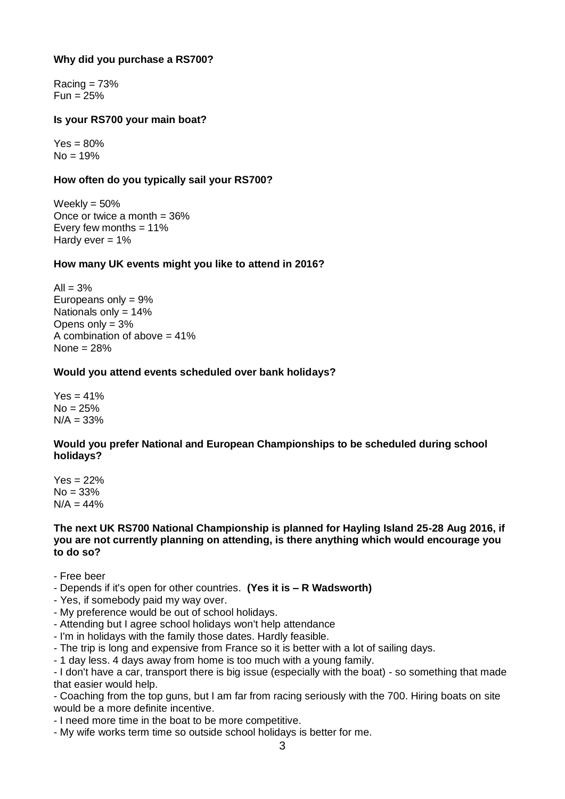## **Why did you purchase a RS700?**

 $Racing = 73%$  $Fun = 25%$ 

## **Is your RS700 your main boat?**

 $Yes = 80%$  $No = 19%$ 

## **How often do you typically sail your RS700?**

Weekly =  $50\%$ Once or twice a month  $= 36\%$ Every few months  $= 11\%$ Hardy ever  $= 1\%$ 

## **How many UK events might you like to attend in 2016?**

 $All = 3%$ Europeans only = 9% Nationals only = 14% Opens only  $= 3\%$ A combination of above  $= 41\%$ None = 28%

## **Would you attend events scheduled over bank holidays?**

 $Yes = 41%$  $No = 25%$  $N/A = 33%$ 

## **Would you prefer National and European Championships to be scheduled during school holidays?**

 $Yes = 22%$  $No = 33%$  $N/A = 44%$ 

### **The next UK RS700 National Championship is planned for Hayling Island 25-28 Aug 2016, if you are not currently planning on attending, is there anything which would encourage you to do so?**

- Free beer
- Depends if it's open for other countries. **(Yes it is – R Wadsworth)**
- Yes, if somebody paid my way over.
- My preference would be out of school holidays.
- Attending but I agree school holidays won't help attendance
- I'm in holidays with the family those dates. Hardly feasible.
- The trip is long and expensive from France so it is better with a lot of sailing days.

- 1 day less. 4 days away from home is too much with a young family.

- I don't have a car, transport there is big issue (especially with the boat) - so something that made that easier would help.

- Coaching from the top guns, but I am far from racing seriously with the 700. Hiring boats on site would be a more definite incentive.

- I need more time in the boat to be more competitive.
- My wife works term time so outside school holidays is better for me.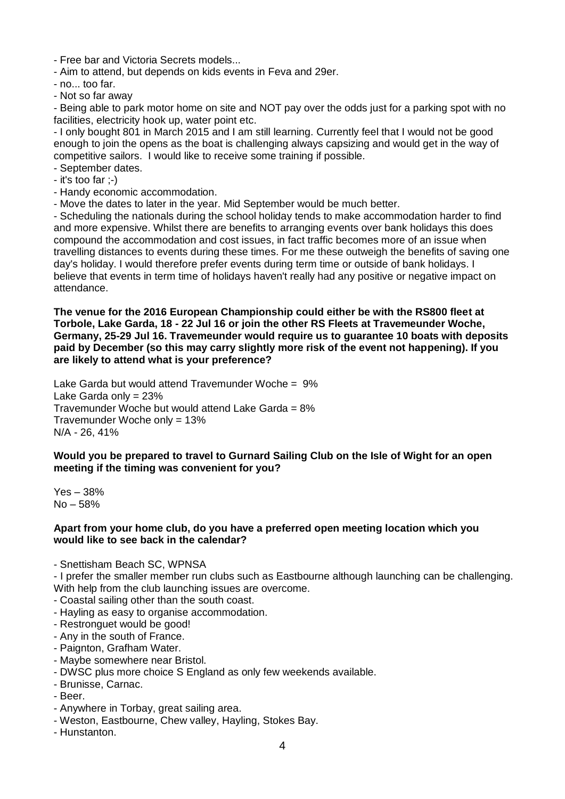- Free bar and Victoria Secrets models...

- Aim to attend, but depends on kids events in Feva and 29er.

- no... too far.
- Not so far away

- Being able to park motor home on site and NOT pay over the odds just for a parking spot with no facilities, electricity hook up, water point etc.

- I only bought 801 in March 2015 and I am still learning. Currently feel that I would not be good enough to join the opens as the boat is challenging always capsizing and would get in the way of competitive sailors. I would like to receive some training if possible.

- September dates.
- it's too far ;-)
- Handy economic accommodation.
- Move the dates to later in the year. Mid September would be much better.

- Scheduling the nationals during the school holiday tends to make accommodation harder to find and more expensive. Whilst there are benefits to arranging events over bank holidays this does compound the accommodation and cost issues, in fact traffic becomes more of an issue when travelling distances to events during these times. For me these outweigh the benefits of saving one day's holiday. I would therefore prefer events during term time or outside of bank holidays. I believe that events in term time of holidays haven't really had any positive or negative impact on attendance.

**The venue for the 2016 European Championship could either be with the RS800 fleet at Torbole, Lake Garda, 18 - 22 Jul 16 or join the other RS Fleets at Travemeunder Woche, Germany, 25-29 Jul 16. Travemeunder would require us to guarantee 10 boats with deposits paid by December (so this may carry slightly more risk of the event not happening). If you are likely to attend what is your preference?**

Lake Garda but would attend Travemunder Woche = 9% Lake Garda only = 23% Travemunder Woche but would attend Lake Garda = 8% Travemunder Woche only = 13% N/A - 26, 41%

**Would you be prepared to travel to Gurnard Sailing Club on the Isle of Wight for an open meeting if the timing was convenient for you?**

Yes – 38% No – 58%

### **Apart from your home club, do you have a preferred open meeting location which you would like to see back in the calendar?**

- Snettisham Beach SC, WPNSA

- I prefer the smaller member run clubs such as Eastbourne although launching can be challenging. With help from the club launching issues are overcome.

- Coastal sailing other than the south coast.
- Hayling as easy to organise accommodation.
- Restronguet would be good!
- Any in the south of France.
- Paignton, Grafham Water.
- Maybe somewhere near Bristol.
- DWSC plus more choice S England as only few weekends available.
- Brunisse, Carnac.
- Beer.
- Anywhere in Torbay, great sailing area.
- Weston, Eastbourne, Chew valley, Hayling, Stokes Bay.
- Hunstanton.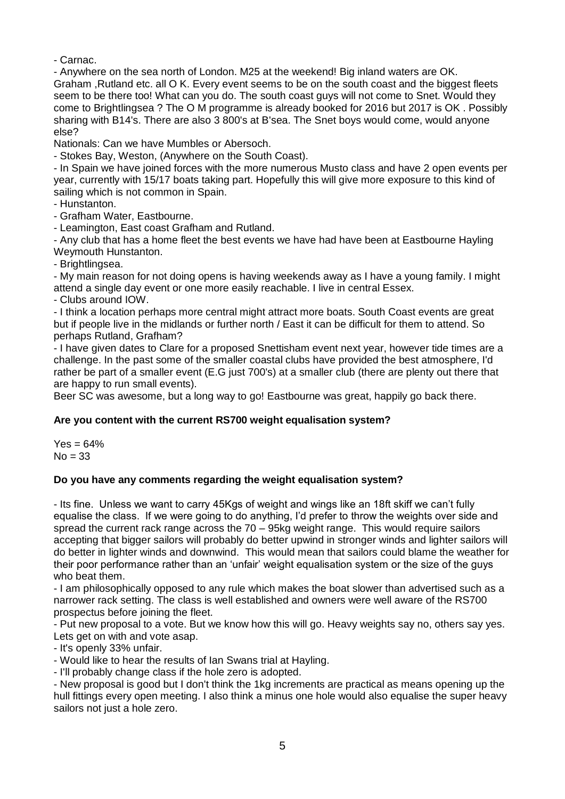- Carnac.

- Anywhere on the sea north of London. M25 at the weekend! Big inland waters are OK. Graham ,Rutland etc. all O K. Every event seems to be on the south coast and the biggest fleets seem to be there too! What can you do. The south coast guys will not come to Snet. Would they come to Brightlingsea ? The O M programme is already booked for 2016 but 2017 is OK . Possibly sharing with B14's. There are also 3 800's at B'sea. The Snet boys would come, would anyone else?

Nationals: Can we have Mumbles or Abersoch.

- Stokes Bay, Weston, (Anywhere on the South Coast).

- In Spain we have joined forces with the more numerous Musto class and have 2 open events per year, currently with 15/17 boats taking part. Hopefully this will give more exposure to this kind of sailing which is not common in Spain.

- Hunstanton.

- Grafham Water, Eastbourne.

- Leamington, East coast Grafham and Rutland.

- Any club that has a home fleet the best events we have had have been at Eastbourne Hayling Weymouth Hunstanton.

- Brightlingsea.

- My main reason for not doing opens is having weekends away as I have a young family. I might attend a single day event or one more easily reachable. I live in central Essex.

- Clubs around IOW.

- I think a location perhaps more central might attract more boats. South Coast events are great but if people live in the midlands or further north / East it can be difficult for them to attend. So perhaps Rutland, Grafham?

- I have given dates to Clare for a proposed Snettisham event next year, however tide times are a challenge. In the past some of the smaller coastal clubs have provided the best atmosphere, I'd rather be part of a smaller event (E.G just 700's) at a smaller club (there are plenty out there that are happy to run small events).

Beer SC was awesome, but a long way to go! Eastbourne was great, happily go back there.

# **Are you content with the current RS700 weight equalisation system?**

 $Yes = 64%$  $No = 33$ 

## **Do you have any comments regarding the weight equalisation system?**

- Its fine. Unless we want to carry 45Kgs of weight and wings like an 18ft skiff we can't fully equalise the class. If we were going to do anything, I'd prefer to throw the weights over side and spread the current rack range across the 70 – 95kg weight range. This would require sailors accepting that bigger sailors will probably do better upwind in stronger winds and lighter sailors will do better in lighter winds and downwind. This would mean that sailors could blame the weather for their poor performance rather than an 'unfair' weight equalisation system or the size of the guys who beat them.

- I am philosophically opposed to any rule which makes the boat slower than advertised such as a narrower rack setting. The class is well established and owners were well aware of the RS700 prospectus before joining the fleet.

- Put new proposal to a vote. But we know how this will go. Heavy weights say no, others say yes. Lets get on with and vote asap.

- It's openly 33% unfair.

- Would like to hear the results of Ian Swans trial at Hayling.

- I'll probably change class if the hole zero is adopted.

- New proposal is good but I don't think the 1kg increments are practical as means opening up the hull fittings every open meeting. I also think a minus one hole would also equalise the super heavy sailors not just a hole zero.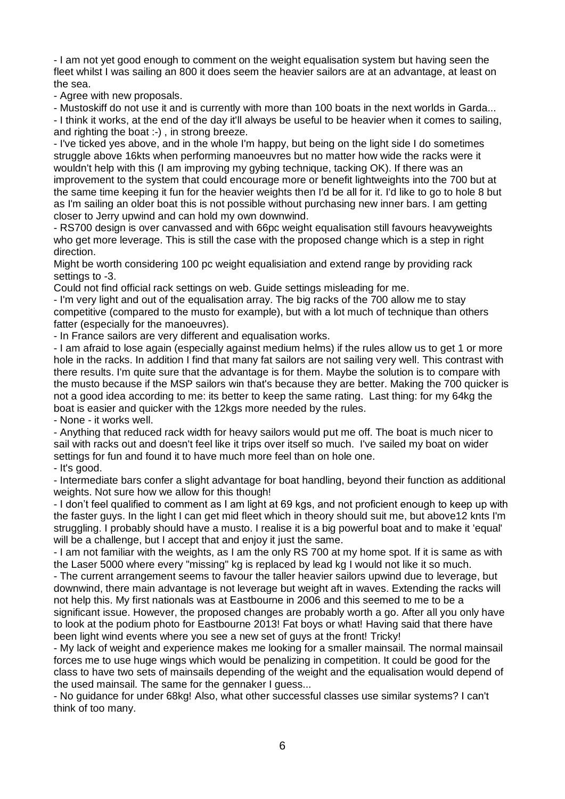- I am not yet good enough to comment on the weight equalisation system but having seen the fleet whilst I was sailing an 800 it does seem the heavier sailors are at an advantage, at least on the sea.

- Agree with new proposals.

- Mustoskiff do not use it and is currently with more than 100 boats in the next worlds in Garda... - I think it works, at the end of the day it'll always be useful to be heavier when it comes to sailing, and righting the boat :-) , in strong breeze.

- I've ticked yes above, and in the whole I'm happy, but being on the light side I do sometimes struggle above 16kts when performing manoeuvres but no matter how wide the racks were it wouldn't help with this (I am improving my gybing technique, tacking OK). If there was an improvement to the system that could encourage more or benefit lightweights into the 700 but at the same time keeping it fun for the heavier weights then I'd be all for it. I'd like to go to hole 8 but as I'm sailing an older boat this is not possible without purchasing new inner bars. I am getting closer to Jerry upwind and can hold my own downwind.

- RS700 design is over canvassed and with 66pc weight equalisation still favours heavyweights who get more leverage. This is still the case with the proposed change which is a step in right direction.

Might be worth considering 100 pc weight equalisiation and extend range by providing rack settings to -3.

Could not find official rack settings on web. Guide settings misleading for me.

- I'm very light and out of the equalisation array. The big racks of the 700 allow me to stay competitive (compared to the musto for example), but with a lot much of technique than others fatter (especially for the manoeuvres).

- In France sailors are very different and equalisation works.

- I am afraid to lose again (especially against medium helms) if the rules allow us to get 1 or more hole in the racks. In addition I find that many fat sailors are not sailing very well. This contrast with there results. I'm quite sure that the advantage is for them. Maybe the solution is to compare with the musto because if the MSP sailors win that's because they are better. Making the 700 quicker is not a good idea according to me: its better to keep the same rating. Last thing: for my 64kg the boat is easier and quicker with the 12kgs more needed by the rules.

- None - it works well.

- Anything that reduced rack width for heavy sailors would put me off. The boat is much nicer to sail with racks out and doesn't feel like it trips over itself so much. I've sailed my boat on wider settings for fun and found it to have much more feel than on hole one.

- It's good.

- Intermediate bars confer a slight advantage for boat handling, beyond their function as additional weights. Not sure how we allow for this though!

- I don't feel qualified to comment as I am light at 69 kgs, and not proficient enough to keep up with the faster guys. In the light I can get mid fleet which in theory should suit me, but above12 knts I'm struggling. I probably should have a musto. I realise it is a big powerful boat and to make it 'equal' will be a challenge, but I accept that and enjoy it just the same.

- I am not familiar with the weights, as I am the only RS 700 at my home spot. If it is same as with the Laser 5000 where every "missing" kg is replaced by lead kg I would not like it so much.

- The current arrangement seems to favour the taller heavier sailors upwind due to leverage, but downwind, there main advantage is not leverage but weight aft in waves. Extending the racks will not help this. My first nationals was at Eastbourne in 2006 and this seemed to me to be a significant issue. However, the proposed changes are probably worth a go. After all you only have to look at the podium photo for Eastbourne 2013! Fat boys or what! Having said that there have been light wind events where you see a new set of guys at the front! Tricky!

- My lack of weight and experience makes me looking for a smaller mainsail. The normal mainsail forces me to use huge wings which would be penalizing in competition. It could be good for the class to have two sets of mainsails depending of the weight and the equalisation would depend of the used mainsail. The same for the gennaker I guess...

- No guidance for under 68kg! Also, what other successful classes use similar systems? I can't think of too many.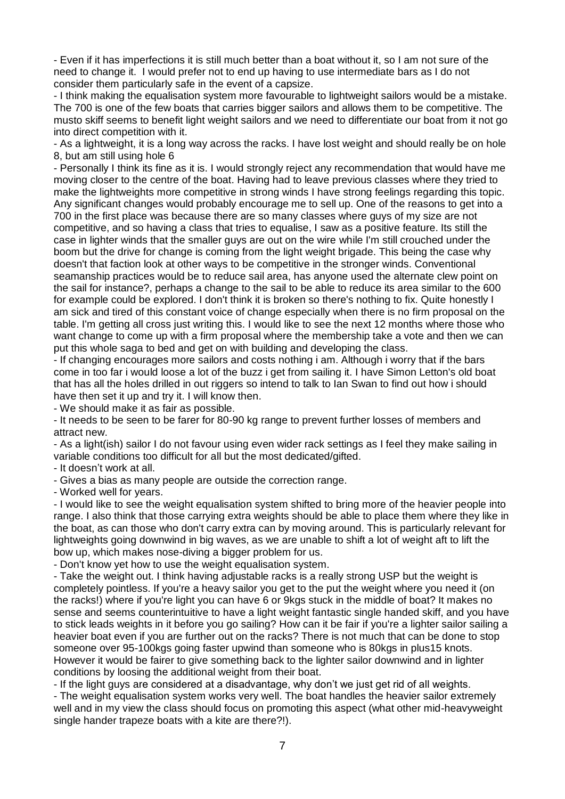- Even if it has imperfections it is still much better than a boat without it, so I am not sure of the need to change it. I would prefer not to end up having to use intermediate bars as I do not consider them particularly safe in the event of a capsize.

- I think making the equalisation system more favourable to lightweight sailors would be a mistake. The 700 is one of the few boats that carries bigger sailors and allows them to be competitive. The musto skiff seems to benefit light weight sailors and we need to differentiate our boat from it not go into direct competition with it.

- As a lightweight, it is a long way across the racks. I have lost weight and should really be on hole 8, but am still using hole 6

- Personally I think its fine as it is. I would strongly reject any recommendation that would have me moving closer to the centre of the boat. Having had to leave previous classes where they tried to make the lightweights more competitive in strong winds I have strong feelings regarding this topic. Any significant changes would probably encourage me to sell up. One of the reasons to get into a 700 in the first place was because there are so many classes where guys of my size are not competitive, and so having a class that tries to equalise, I saw as a positive feature. Its still the case in lighter winds that the smaller guys are out on the wire while I'm still crouched under the boom but the drive for change is coming from the light weight brigade. This being the case why doesn't that faction look at other ways to be competitive in the stronger winds. Conventional seamanship practices would be to reduce sail area, has anyone used the alternate clew point on the sail for instance?, perhaps a change to the sail to be able to reduce its area similar to the 600 for example could be explored. I don't think it is broken so there's nothing to fix. Quite honestly I am sick and tired of this constant voice of change especially when there is no firm proposal on the table. I'm getting all cross just writing this. I would like to see the next 12 months where those who want change to come up with a firm proposal where the membership take a vote and then we can put this whole saga to bed and get on with building and developing the class.

- If changing encourages more sailors and costs nothing i am. Although i worry that if the bars come in too far i would loose a lot of the buzz i get from sailing it. I have Simon Letton's old boat that has all the holes drilled in out riggers so intend to talk to Ian Swan to find out how i should have then set it up and try it. I will know then.

- We should make it as fair as possible.

- It needs to be seen to be farer for 80-90 kg range to prevent further losses of members and attract new.

- As a light(ish) sailor I do not favour using even wider rack settings as I feel they make sailing in variable conditions too difficult for all but the most dedicated/gifted.

- It doesn't work at all.

- Gives a bias as many people are outside the correction range.

- Worked well for years.

- I would like to see the weight equalisation system shifted to bring more of the heavier people into range. I also think that those carrying extra weights should be able to place them where they like in the boat, as can those who don't carry extra can by moving around. This is particularly relevant for lightweights going downwind in big waves, as we are unable to shift a lot of weight aft to lift the bow up, which makes nose-diving a bigger problem for us.

- Don't know yet how to use the weight equalisation system.

- Take the weight out. I think having adjustable racks is a really strong USP but the weight is completely pointless. If you're a heavy sailor you get to the put the weight where you need it (on the racks!) where if you're light you can have 6 or 9kgs stuck in the middle of boat? It makes no sense and seems counterintuitive to have a light weight fantastic single handed skiff, and you have to stick leads weights in it before you go sailing? How can it be fair if you're a lighter sailor sailing a heavier boat even if you are further out on the racks? There is not much that can be done to stop someone over 95-100kgs going faster upwind than someone who is 80kgs in plus15 knots. However it would be fairer to give something back to the lighter sailor downwind and in lighter conditions by loosing the additional weight from their boat.

- If the light guys are considered at a disadvantage, why don't we just get rid of all weights.

- The weight equalisation system works very well. The boat handles the heavier sailor extremely well and in my view the class should focus on promoting this aspect (what other mid-heavyweight single hander trapeze boats with a kite are there?!).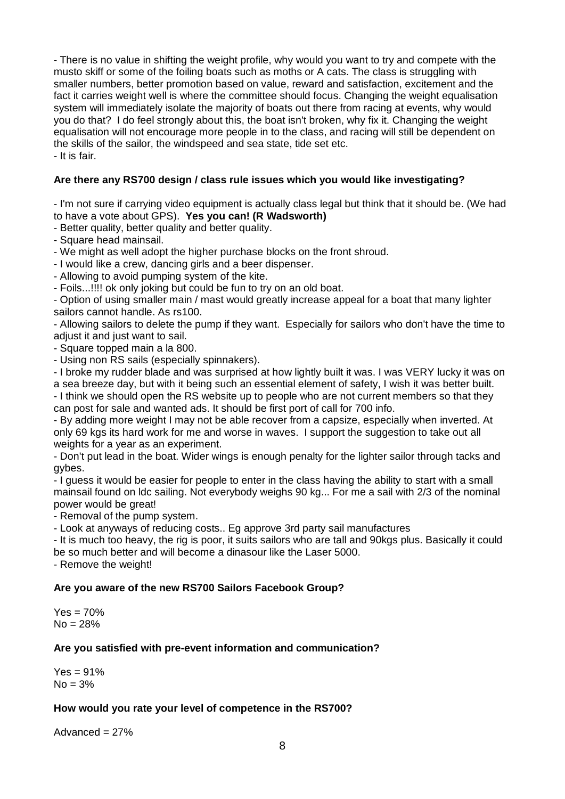- There is no value in shifting the weight profile, why would you want to try and compete with the musto skiff or some of the foiling boats such as moths or A cats. The class is struggling with smaller numbers, better promotion based on value, reward and satisfaction, excitement and the fact it carries weight well is where the committee should focus. Changing the weight equalisation system will immediately isolate the majority of boats out there from racing at events, why would you do that? I do feel strongly about this, the boat isn't broken, why fix it. Changing the weight equalisation will not encourage more people in to the class, and racing will still be dependent on the skills of the sailor, the windspeed and sea state, tide set etc. - It is fair.

## **Are there any RS700 design / class rule issues which you would like investigating?**

- I'm not sure if carrying video equipment is actually class legal but think that it should be. (We had to have a vote about GPS). **Yes you can! (R Wadsworth)**

- Better quality, better quality and better quality.

- Square head mainsail.

- We might as well adopt the higher purchase blocks on the front shroud.

- I would like a crew, dancing girls and a beer dispenser.

- Allowing to avoid pumping system of the kite.

- Foils...!!!! ok only joking but could be fun to try on an old boat.

- Option of using smaller main / mast would greatly increase appeal for a boat that many lighter sailors cannot handle. As rs100.

- Allowing sailors to delete the pump if they want. Especially for sailors who don't have the time to adjust it and just want to sail.

- Square topped main a la 800.

- Using non RS sails (especially spinnakers).

- I broke my rudder blade and was surprised at how lightly built it was. I was VERY lucky it was on a sea breeze day, but with it being such an essential element of safety, I wish it was better built. - I think we should open the RS website up to people who are not current members so that they can post for sale and wanted ads. It should be first port of call for 700 info.

- By adding more weight I may not be able recover from a capsize, especially when inverted. At only 69 kgs its hard work for me and worse in waves. I support the suggestion to take out all weights for a year as an experiment.

- Don't put lead in the boat. Wider wings is enough penalty for the lighter sailor through tacks and gybes.

- I guess it would be easier for people to enter in the class having the ability to start with a small mainsail found on ldc sailing. Not everybody weighs 90 kg... For me a sail with 2/3 of the nominal power would be great!

- Removal of the pump system.

- Look at anyways of reducing costs.. Eg approve 3rd party sail manufactures

- It is much too heavy, the rig is poor, it suits sailors who are tall and 90kgs plus. Basically it could be so much better and will become a dinasour like the Laser 5000.

- Remove the weight!

## **Are you aware of the new RS700 Sailors Facebook Group?**

 $Yes = 70%$  $No = 28%$ 

## **Are you satisfied with pre-event information and communication?**

 $Yes = 91%$  $No = 3%$ 

## **How would you rate your level of competence in the RS700?**

Advanced  $= 27\%$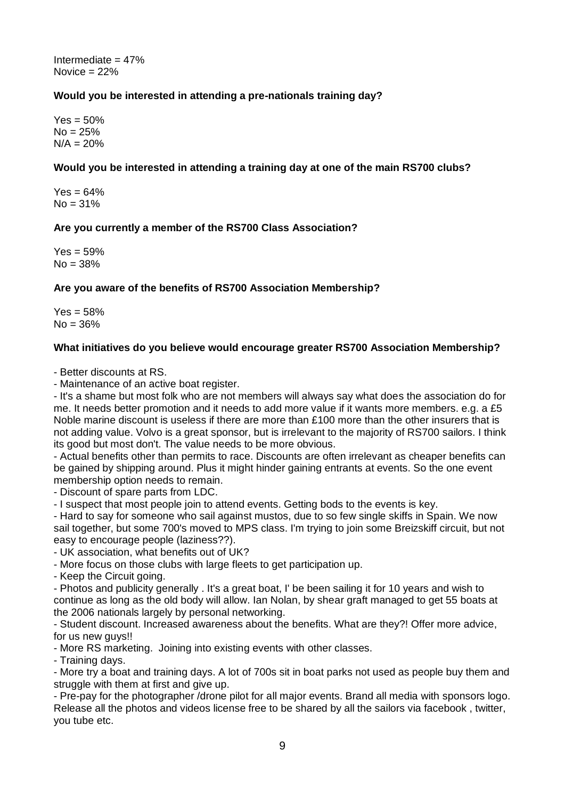Intermediate  $= 47\%$ Novice  $= 22%$ 

## **Would you be interested in attending a pre-nationals training day?**

 $Yes = 50\%$  $No = 25%$  $N/A = 20%$ 

## **Would you be interested in attending a training day at one of the main RS700 clubs?**

 $Yes = 64%$  $No = 31%$ 

## **Are you currently a member of the RS700 Class Association?**

 $Yes = 59%$  $No = 38%$ 

## **Are you aware of the benefits of RS700 Association Membership?**

 $Yes = 58%$  $No = 36%$ 

## **What initiatives do you believe would encourage greater RS700 Association Membership?**

- Better discounts at RS.

- Maintenance of an active boat register.

- It's a shame but most folk who are not members will always say what does the association do for me. It needs better promotion and it needs to add more value if it wants more members. e.g. a £5 Noble marine discount is useless if there are more than £100 more than the other insurers that is not adding value. Volvo is a great sponsor, but is irrelevant to the majority of RS700 sailors. I think its good but most don't. The value needs to be more obvious.

- Actual benefits other than permits to race. Discounts are often irrelevant as cheaper benefits can be gained by shipping around. Plus it might hinder gaining entrants at events. So the one event membership option needs to remain.

- Discount of spare parts from LDC.

- I suspect that most people join to attend events. Getting bods to the events is key.

- Hard to say for someone who sail against mustos, due to so few single skiffs in Spain. We now sail together, but some 700's moved to MPS class. I'm trying to join some Breizskiff circuit, but not easy to encourage people (laziness??).

- UK association, what benefits out of UK?

- More focus on those clubs with large fleets to get participation up.

- Keep the Circuit going.

- Photos and publicity generally . It's a great boat, I' be been sailing it for 10 years and wish to continue as long as the old body will allow. Ian Nolan, by shear graft managed to get 55 boats at the 2006 nationals largely by personal networking.

- Student discount. Increased awareness about the benefits. What are they?! Offer more advice, for us new guys!!

- More RS marketing. Joining into existing events with other classes.

- Training days.

- More try a boat and training days. A lot of 700s sit in boat parks not used as people buy them and struggle with them at first and give up.

- Pre-pay for the photographer /drone pilot for all major events. Brand all media with sponsors logo. Release all the photos and videos license free to be shared by all the sailors via facebook , twitter, you tube etc.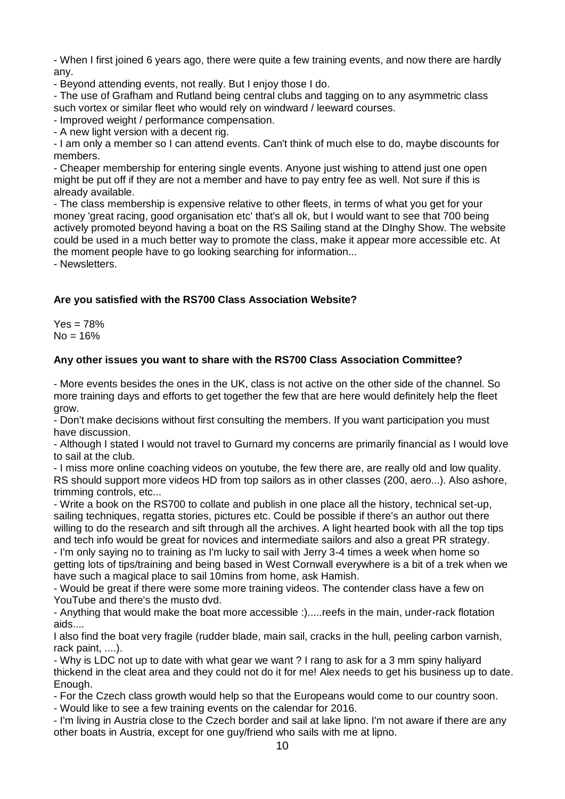- When I first joined 6 years ago, there were quite a few training events, and now there are hardly any.

- Beyond attending events, not really. But I enjoy those I do.

- The use of Grafham and Rutland being central clubs and tagging on to any asymmetric class such vortex or similar fleet who would rely on windward / leeward courses.

- Improved weight / performance compensation.

- A new light version with a decent rig.

- I am only a member so I can attend events. Can't think of much else to do, maybe discounts for members.

- Cheaper membership for entering single events. Anyone just wishing to attend just one open might be put off if they are not a member and have to pay entry fee as well. Not sure if this is already available.

- The class membership is expensive relative to other fleets, in terms of what you get for your money 'great racing, good organisation etc' that's all ok, but I would want to see that 700 being actively promoted beyond having a boat on the RS Sailing stand at the DInghy Show. The website could be used in a much better way to promote the class, make it appear more accessible etc. At the moment people have to go looking searching for information...

- Newsletters.

# **Are you satisfied with the RS700 Class Association Website?**

 $Yes = 78%$  $No = 16%$ 

## **Any other issues you want to share with the RS700 Class Association Committee?**

- More events besides the ones in the UK, class is not active on the other side of the channel. So more training days and efforts to get together the few that are here would definitely help the fleet grow.

- Don't make decisions without first consulting the members. If you want participation you must have discussion.

- Although I stated I would not travel to Gurnard my concerns are primarily financial as I would love to sail at the club.

- I miss more online coaching videos on youtube, the few there are, are really old and low quality. RS should support more videos HD from top sailors as in other classes (200, aero...). Also ashore, trimming controls, etc...

- Write a book on the RS700 to collate and publish in one place all the history, technical set-up, sailing techniques, regatta stories, pictures etc. Could be possible if there's an author out there willing to do the research and sift through all the archives. A light hearted book with all the top tips and tech info would be great for novices and intermediate sailors and also a great PR strategy.

- I'm only saying no to training as I'm lucky to sail with Jerry 3-4 times a week when home so getting lots of tips/training and being based in West Cornwall everywhere is a bit of a trek when we have such a magical place to sail 10mins from home, ask Hamish.

- Would be great if there were some more training videos. The contender class have a few on YouTube and there's the musto dvd.

- Anything that would make the boat more accessible :).....reefs in the main, under-rack flotation aids....

I also find the boat very fragile (rudder blade, main sail, cracks in the hull, peeling carbon varnish, rack paint, ....).

- Why is LDC not up to date with what gear we want ? I rang to ask for a 3 mm spiny haliyard thickend in the cleat area and they could not do it for me! Alex needs to get his business up to date. Enough.

- For the Czech class growth would help so that the Europeans would come to our country soon.

- Would like to see a few training events on the calendar for 2016.

- I'm living in Austria close to the Czech border and sail at lake lipno. I'm not aware if there are any other boats in Austria, except for one guy/friend who sails with me at lipno.